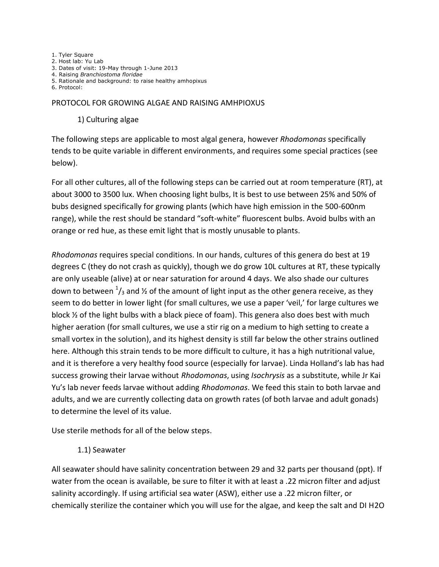1. Tyler Square 2. Host lab: Yu Lab 3. Dates of visit: 19-May through 1-June 2013 4. Raising *Branchiostoma floridae* 5. Rationale and background: to raise healthy amhopixus 6. Protocol:

#### PROTOCOL FOR GROWING ALGAE AND RAISING AMHPIOXUS

#### 1) Culturing algae

The following steps are applicable to most algal genera, however *Rhodomonas* specifically tends to be quite variable in different environments, and requires some special practices (see below).

For all other cultures, all of the following steps can be carried out at room temperature (RT), at about 3000 to 3500 lux. When choosing light bulbs, It is best to use between 25% and 50% of bubs designed specifically for growing plants (which have high emission in the 500-600nm range), while the rest should be standard "soft-white" fluorescent bulbs. Avoid bulbs with an orange or red hue, as these emit light that is mostly unusable to plants.

*Rhodomonas* requires special conditions. In our hands, cultures of this genera do best at 19 degrees C (they do not crash as quickly), though we do grow 10L cultures at RT, these typically are only useable (alive) at or near saturation for around 4 days. We also shade our cultures down to between  $^1\prime_3$  and ½ of the amount of light input as the other genera receive, as they seem to do better in lower light (for small cultures, we use a paper 'veil,' for large cultures we block ½ of the light bulbs with a black piece of foam). This genera also does best with much higher aeration (for small cultures, we use a stir rig on a medium to high setting to create a small vortex in the solution), and its highest density is still far below the other strains outlined here. Although this strain tends to be more difficult to culture, it has a high nutritional value, and it is therefore a very healthy food source (especially for larvae). Linda Holland's lab has had success growing their larvae without *Rhodomonas*, using *Isochrysis* as a substitute, while Jr Kai Yu's lab never feeds larvae without adding *Rhodomonas*. We feed this stain to both larvae and adults, and we are currently collecting data on growth rates (of both larvae and adult gonads) to determine the level of its value.

Use sterile methods for all of the below steps.

### 1.1) Seawater

All seawater should have salinity concentration between 29 and 32 parts per thousand (ppt). If water from the ocean is available, be sure to filter it with at least a .22 micron filter and adjust salinity accordingly. If using artificial sea water (ASW), either use a .22 micron filter, or chemically sterilize the container which you will use for the algae, and keep the salt and DI H2O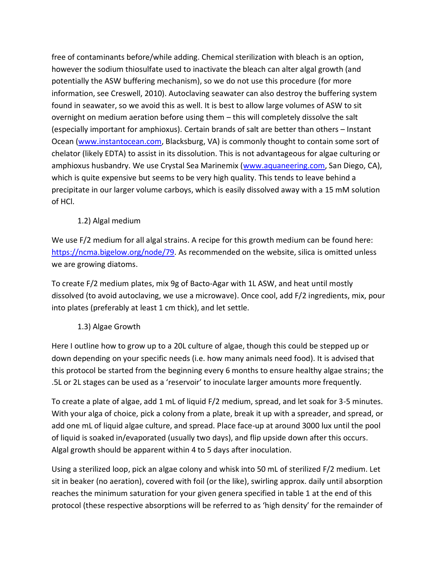free of contaminants before/while adding. Chemical sterilization with bleach is an option, however the sodium thiosulfate used to inactivate the bleach can alter algal growth (and potentially the ASW buffering mechanism), so we do not use this procedure (for more information, see Creswell, 2010). Autoclaving seawater can also destroy the buffering system found in seawater, so we avoid this as well. It is best to allow large volumes of ASW to sit overnight on medium aeration before using them – this will completely dissolve the salt (especially important for amphioxus). Certain brands of salt are better than others – Instant Ocean [\(www.instantocean.com,](http://www.instantocean.com/) Blacksburg, VA) is commonly thought to contain some sort of chelator (likely EDTA) to assist in its dissolution. This is not advantageous for algae culturing or amphioxus husbandry. We use Crystal Sea Marinemix [\(www.aquaneering.com,](http://www.aquaneering.com/) San Diego, CA), which is quite expensive but seems to be very high quality. This tends to leave behind a precipitate in our larger volume carboys, which is easily dissolved away with a 15 mM solution of HCl.

## 1.2) Algal medium

We use F/2 medium for all algal strains. A recipe for this growth medium can be found here: [https://ncma.bigelow.org/node/79.](https://ncma.bigelow.org/node/79) As recommended on the website, silica is omitted unless we are growing diatoms.

To create F/2 medium plates, mix 9g of Bacto-Agar with 1L ASW, and heat until mostly dissolved (to avoid autoclaving, we use a microwave). Once cool, add F/2 ingredients, mix, pour into plates (preferably at least 1 cm thick), and let settle.

## 1.3) Algae Growth

Here I outline how to grow up to a 20L culture of algae, though this could be stepped up or down depending on your specific needs (i.e. how many animals need food). It is advised that this protocol be started from the beginning every 6 months to ensure healthy algae strains; the .5L or 2L stages can be used as a 'reservoir' to inoculate larger amounts more frequently.

To create a plate of algae, add 1 mL of liquid F/2 medium, spread, and let soak for 3-5 minutes. With your alga of choice, pick a colony from a plate, break it up with a spreader, and spread, or add one mL of liquid algae culture, and spread. Place face-up at around 3000 lux until the pool of liquid is soaked in/evaporated (usually two days), and flip upside down after this occurs. Algal growth should be apparent within 4 to 5 days after inoculation.

Using a sterilized loop, pick an algae colony and whisk into 50 mL of sterilized F/2 medium. Let sit in beaker (no aeration), covered with foil (or the like), swirling approx. daily until absorption reaches the minimum saturation for your given genera specified in table 1 at the end of this protocol (these respective absorptions will be referred to as 'high density' for the remainder of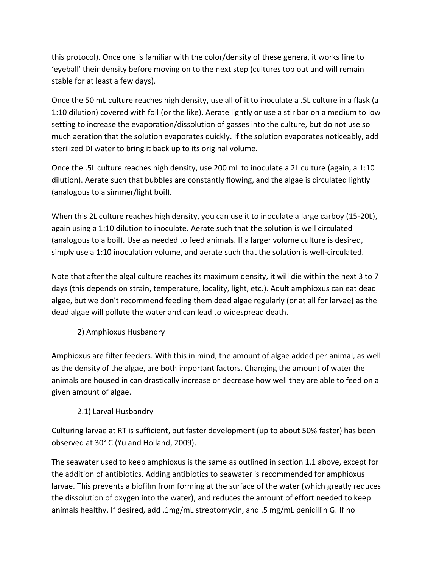this protocol). Once one is familiar with the color/density of these genera, it works fine to 'eyeball' their density before moving on to the next step (cultures top out and will remain stable for at least a few days).

Once the 50 mL culture reaches high density, use all of it to inoculate a .5L culture in a flask (a 1:10 dilution) covered with foil (or the like). Aerate lightly or use a stir bar on a medium to low setting to increase the evaporation/dissolution of gasses into the culture, but do not use so much aeration that the solution evaporates quickly. If the solution evaporates noticeably, add sterilized DI water to bring it back up to its original volume.

Once the .5L culture reaches high density, use 200 mL to inoculate a 2L culture (again, a 1:10 dilution). Aerate such that bubbles are constantly flowing, and the algae is circulated lightly (analogous to a simmer/light boil).

When this 2L culture reaches high density, you can use it to inoculate a large carboy (15-20L), again using a 1:10 dilution to inoculate. Aerate such that the solution is well circulated (analogous to a boil). Use as needed to feed animals. If a larger volume culture is desired, simply use a 1:10 inoculation volume, and aerate such that the solution is well-circulated.

Note that after the algal culture reaches its maximum density, it will die within the next 3 to 7 days (this depends on strain, temperature, locality, light, etc.). Adult amphioxus can eat dead algae, but we don't recommend feeding them dead algae regularly (or at all for larvae) as the dead algae will pollute the water and can lead to widespread death.

2) Amphioxus Husbandry

Amphioxus are filter feeders. With this in mind, the amount of algae added per animal, as well as the density of the algae, are both important factors. Changing the amount of water the animals are housed in can drastically increase or decrease how well they are able to feed on a given amount of algae.

## 2.1) Larval Husbandry

Culturing larvae at RT is sufficient, but faster development (up to about 50% faster) has been observed at 30° C (Yu and Holland, 2009).

The seawater used to keep amphioxus is the same as outlined in section 1.1 above, except for the addition of antibiotics. Adding antibiotics to seawater is recommended for amphioxus larvae. This prevents a biofilm from forming at the surface of the water (which greatly reduces the dissolution of oxygen into the water), and reduces the amount of effort needed to keep animals healthy. If desired, add .1mg/mL streptomycin, and .5 mg/mL penicillin G. If no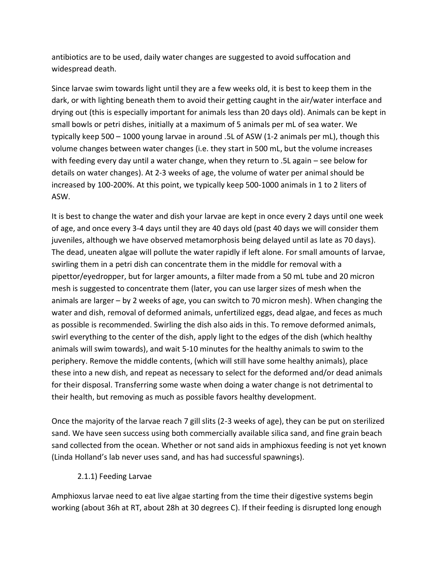antibiotics are to be used, daily water changes are suggested to avoid suffocation and widespread death.

Since larvae swim towards light until they are a few weeks old, it is best to keep them in the dark, or with lighting beneath them to avoid their getting caught in the air/water interface and drying out (this is especially important for animals less than 20 days old). Animals can be kept in small bowls or petri dishes, initially at a maximum of 5 animals per mL of sea water. We typically keep 500 – 1000 young larvae in around .5L of ASW (1-2 animals per mL), though this volume changes between water changes (i.e. they start in 500 mL, but the volume increases with feeding every day until a water change, when they return to .5L again – see below for details on water changes). At 2-3 weeks of age, the volume of water per animal should be increased by 100-200%. At this point, we typically keep 500-1000 animals in 1 to 2 liters of ASW.

It is best to change the water and dish your larvae are kept in once every 2 days until one week of age, and once every 3-4 days until they are 40 days old (past 40 days we will consider them juveniles, although we have observed metamorphosis being delayed until as late as 70 days). The dead, uneaten algae will pollute the water rapidly if left alone. For small amounts of larvae, swirling them in a petri dish can concentrate them in the middle for removal with a pipettor/eyedropper, but for larger amounts, a filter made from a 50 mL tube and 20 micron mesh is suggested to concentrate them (later, you can use larger sizes of mesh when the animals are larger – by 2 weeks of age, you can switch to 70 micron mesh). When changing the water and dish, removal of deformed animals, unfertilized eggs, dead algae, and feces as much as possible is recommended. Swirling the dish also aids in this. To remove deformed animals, swirl everything to the center of the dish, apply light to the edges of the dish (which healthy animals will swim towards), and wait 5-10 minutes for the healthy animals to swim to the periphery. Remove the middle contents, (which will still have some healthy animals), place these into a new dish, and repeat as necessary to select for the deformed and/or dead animals for their disposal. Transferring some waste when doing a water change is not detrimental to their health, but removing as much as possible favors healthy development.

Once the majority of the larvae reach 7 gill slits (2-3 weeks of age), they can be put on sterilized sand. We have seen success using both commercially available silica sand, and fine grain beach sand collected from the ocean. Whether or not sand aids in amphioxus feeding is not yet known (Linda Holland's lab never uses sand, and has had successful spawnings).

### 2.1.1) Feeding Larvae

Amphioxus larvae need to eat live algae starting from the time their digestive systems begin working (about 36h at RT, about 28h at 30 degrees C). If their feeding is disrupted long enough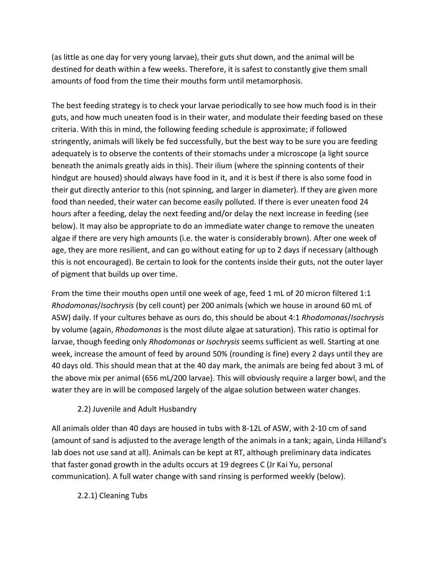(as little as one day for very young larvae), their guts shut down, and the animal will be destined for death within a few weeks. Therefore, it is safest to constantly give them small amounts of food from the time their mouths form until metamorphosis.

The best feeding strategy is to check your larvae periodically to see how much food is in their guts, and how much uneaten food is in their water, and modulate their feeding based on these criteria. With this in mind, the following feeding schedule is approximate; if followed stringently, animals will likely be fed successfully, but the best way to be sure you are feeding adequately is to observe the contents of their stomachs under a microscope (a light source beneath the animals greatly aids in this). Their ilium (where the spinning contents of their hindgut are housed) should always have food in it, and it is best if there is also some food in their gut directly anterior to this (not spinning, and larger in diameter). If they are given more food than needed, their water can become easily polluted. If there is ever uneaten food 24 hours after a feeding, delay the next feeding and/or delay the next increase in feeding (see below). It may also be appropriate to do an immediate water change to remove the uneaten algae if there are very high amounts (i.e. the water is considerably brown). After one week of age, they are more resilient, and can go without eating for up to 2 days if necessary (although this is not encouraged). Be certain to look for the contents inside their guts, not the outer layer of pigment that builds up over time.

From the time their mouths open until one week of age, feed 1 mL of 20 micron filtered 1:1 *Rhodomonas*/*Isochrysis* (by cell count) per 200 animals (which we house in around 60 mL of ASW) daily. If your cultures behave as ours do, this should be about 4:1 *Rhodomonas*/*Isochrysis* by volume (again, *Rhodomonas* is the most dilute algae at saturation). This ratio is optimal for larvae, though feeding only *Rhodomonas* or *Isochrysis* seems sufficient as well. Starting at one week, increase the amount of feed by around 50% (rounding is fine) every 2 days until they are 40 days old. This should mean that at the 40 day mark, the animals are being fed about 3 mL of the above mix per animal (656 mL/200 larvae). This will obviously require a larger bowl, and the water they are in will be composed largely of the algae solution between water changes.

## 2.2) Juvenile and Adult Husbandry

All animals older than 40 days are housed in tubs with 8-12L of ASW, with 2-10 cm of sand (amount of sand is adjusted to the average length of the animals in a tank; again, Linda Hilland's lab does not use sand at all). Animals can be kept at RT, although preliminary data indicates that faster gonad growth in the adults occurs at 19 degrees C (Jr Kai Yu, personal communication). A full water change with sand rinsing is performed weekly (below).

2.2.1) Cleaning Tubs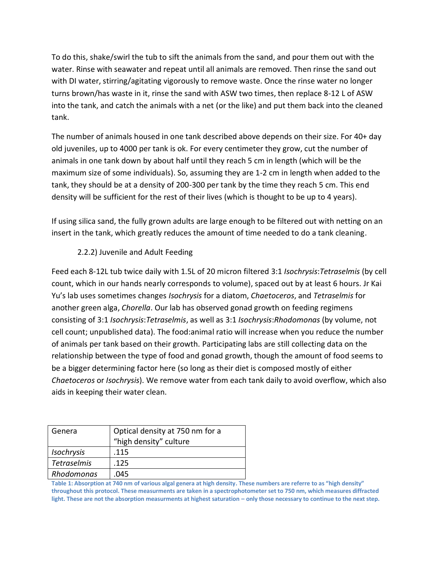To do this, shake/swirl the tub to sift the animals from the sand, and pour them out with the water. Rinse with seawater and repeat until all animals are removed. Then rinse the sand out with DI water, stirring/agitating vigorously to remove waste. Once the rinse water no longer turns brown/has waste in it, rinse the sand with ASW two times, then replace 8-12 L of ASW into the tank, and catch the animals with a net (or the like) and put them back into the cleaned tank.

The number of animals housed in one tank described above depends on their size. For 40+ day old juveniles, up to 4000 per tank is ok. For every centimeter they grow, cut the number of animals in one tank down by about half until they reach 5 cm in length (which will be the maximum size of some individuals). So, assuming they are 1-2 cm in length when added to the tank, they should be at a density of 200-300 per tank by the time they reach 5 cm. This end density will be sufficient for the rest of their lives (which is thought to be up to 4 years).

If using silica sand, the fully grown adults are large enough to be filtered out with netting on an insert in the tank, which greatly reduces the amount of time needed to do a tank cleaning.

# 2.2.2) Juvenile and Adult Feeding

Feed each 8-12L tub twice daily with 1.5L of 20 micron filtered 3:1 *Isochrysis*:*Tetraselmis* (by cell count, which in our hands nearly corresponds to volume), spaced out by at least 6 hours. Jr Kai Yu's lab uses sometimes changes *Isochrysis* for a diatom, *Chaetoceros*, and *Tetraselmis* for another green alga, *Chorella*. Our lab has observed gonad growth on feeding regimens consisting of 3:1 *Isochrysis*:*Tetraselmis*, as well as 3:1 *Isochrysis*:*Rhodomonas* (by volume, not cell count; unpublished data). The food:animal ratio will increase when you reduce the number of animals per tank based on their growth. Participating labs are still collecting data on the relationship between the type of food and gonad growth, though the amount of food seems to be a bigger determining factor here (so long as their diet is composed mostly of either *Chaetoceros* or *Isochrysis*). We remove water from each tank daily to avoid overflow, which also aids in keeping their water clean.

| Genera             | Optical density at 750 nm for a<br>"high density" culture |
|--------------------|-----------------------------------------------------------|
| Isochrysis         | .115                                                      |
| <b>Tetraselmis</b> | .125                                                      |
| Rhodomonas         | .045                                                      |

**Table 1: Absorption at 740 nm of various algal genera at high density. These numbers are referre to as "high density" throughout this protocol. These measurments are taken in a spectrophotometer set to 750 nm, which measures diffracted**  light. These are not the absorption measurments at highest saturation – only those necessary to continue to the next step.